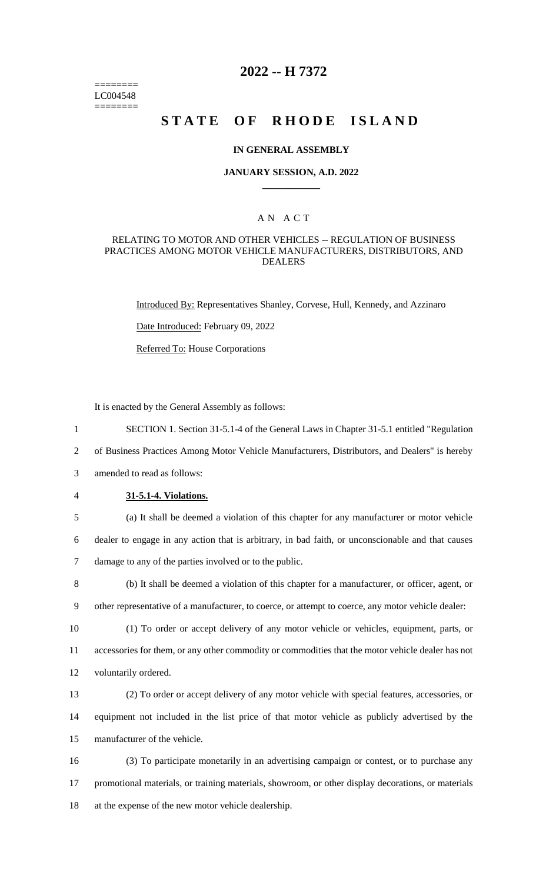======== LC004548 ========

# **2022 -- H 7372**

# **STATE OF RHODE ISLAND**

### **IN GENERAL ASSEMBLY**

### **JANUARY SESSION, A.D. 2022 \_\_\_\_\_\_\_\_\_\_\_\_**

### A N A C T

### RELATING TO MOTOR AND OTHER VEHICLES -- REGULATION OF BUSINESS PRACTICES AMONG MOTOR VEHICLE MANUFACTURERS, DISTRIBUTORS, AND DEALERS

Introduced By: Representatives Shanley, Corvese, Hull, Kennedy, and Azzinaro

Date Introduced: February 09, 2022

Referred To: House Corporations

It is enacted by the General Assembly as follows:

- 1 SECTION 1. Section 31-5.1-4 of the General Laws in Chapter 31-5.1 entitled "Regulation
- 2 of Business Practices Among Motor Vehicle Manufacturers, Distributors, and Dealers" is hereby
- 3 amended to read as follows:
- 4 **31-5.1-4. Violations.**
- 

5 (a) It shall be deemed a violation of this chapter for any manufacturer or motor vehicle 6 dealer to engage in any action that is arbitrary, in bad faith, or unconscionable and that causes 7 damage to any of the parties involved or to the public.

- 8 (b) It shall be deemed a violation of this chapter for a manufacturer, or officer, agent, or 9 other representative of a manufacturer, to coerce, or attempt to coerce, any motor vehicle dealer:
- 10 (1) To order or accept delivery of any motor vehicle or vehicles, equipment, parts, or 11 accessories for them, or any other commodity or commodities that the motor vehicle dealer has not 12 voluntarily ordered.
- 13 (2) To order or accept delivery of any motor vehicle with special features, accessories, or 14 equipment not included in the list price of that motor vehicle as publicly advertised by the 15 manufacturer of the vehicle.
- 16 (3) To participate monetarily in an advertising campaign or contest, or to purchase any 17 promotional materials, or training materials, showroom, or other display decorations, or materials 18 at the expense of the new motor vehicle dealership.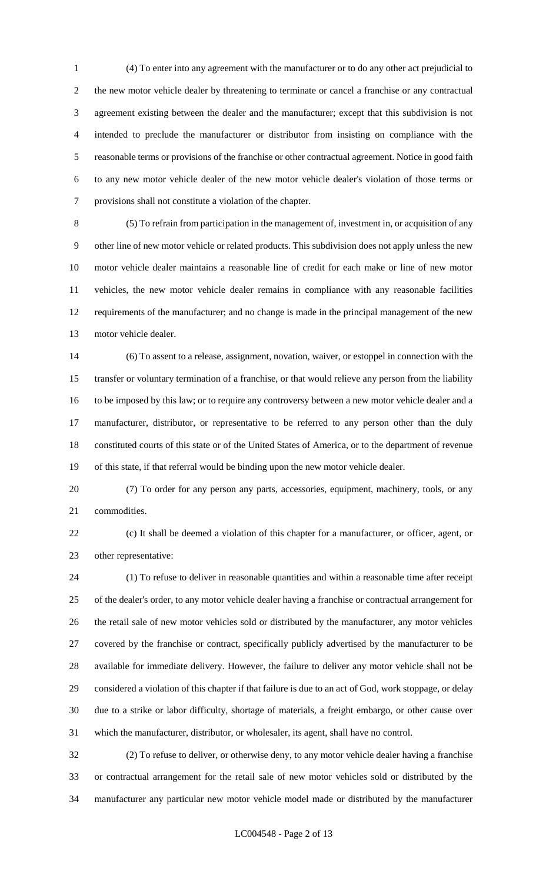(4) To enter into any agreement with the manufacturer or to do any other act prejudicial to the new motor vehicle dealer by threatening to terminate or cancel a franchise or any contractual agreement existing between the dealer and the manufacturer; except that this subdivision is not intended to preclude the manufacturer or distributor from insisting on compliance with the reasonable terms or provisions of the franchise or other contractual agreement. Notice in good faith to any new motor vehicle dealer of the new motor vehicle dealer's violation of those terms or provisions shall not constitute a violation of the chapter.

 (5) To refrain from participation in the management of, investment in, or acquisition of any other line of new motor vehicle or related products. This subdivision does not apply unless the new motor vehicle dealer maintains a reasonable line of credit for each make or line of new motor vehicles, the new motor vehicle dealer remains in compliance with any reasonable facilities requirements of the manufacturer; and no change is made in the principal management of the new motor vehicle dealer.

 (6) To assent to a release, assignment, novation, waiver, or estoppel in connection with the transfer or voluntary termination of a franchise, or that would relieve any person from the liability to be imposed by this law; or to require any controversy between a new motor vehicle dealer and a manufacturer, distributor, or representative to be referred to any person other than the duly constituted courts of this state or of the United States of America, or to the department of revenue of this state, if that referral would be binding upon the new motor vehicle dealer.

 (7) To order for any person any parts, accessories, equipment, machinery, tools, or any commodities.

 (c) It shall be deemed a violation of this chapter for a manufacturer, or officer, agent, or other representative:

 (1) To refuse to deliver in reasonable quantities and within a reasonable time after receipt of the dealer's order, to any motor vehicle dealer having a franchise or contractual arrangement for the retail sale of new motor vehicles sold or distributed by the manufacturer, any motor vehicles covered by the franchise or contract, specifically publicly advertised by the manufacturer to be available for immediate delivery. However, the failure to deliver any motor vehicle shall not be considered a violation of this chapter if that failure is due to an act of God, work stoppage, or delay due to a strike or labor difficulty, shortage of materials, a freight embargo, or other cause over which the manufacturer, distributor, or wholesaler, its agent, shall have no control.

 (2) To refuse to deliver, or otherwise deny, to any motor vehicle dealer having a franchise or contractual arrangement for the retail sale of new motor vehicles sold or distributed by the manufacturer any particular new motor vehicle model made or distributed by the manufacturer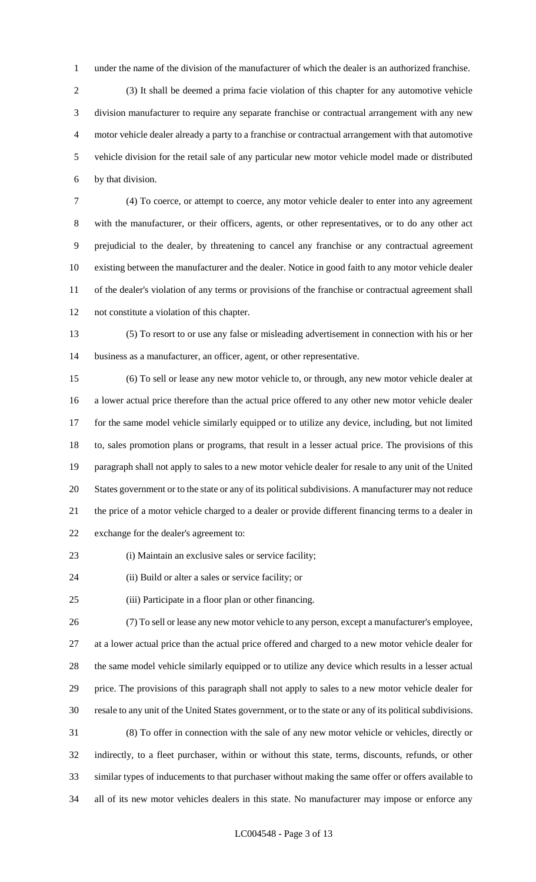under the name of the division of the manufacturer of which the dealer is an authorized franchise.

 (3) It shall be deemed a prima facie violation of this chapter for any automotive vehicle division manufacturer to require any separate franchise or contractual arrangement with any new motor vehicle dealer already a party to a franchise or contractual arrangement with that automotive vehicle division for the retail sale of any particular new motor vehicle model made or distributed by that division.

 (4) To coerce, or attempt to coerce, any motor vehicle dealer to enter into any agreement with the manufacturer, or their officers, agents, or other representatives, or to do any other act prejudicial to the dealer, by threatening to cancel any franchise or any contractual agreement existing between the manufacturer and the dealer. Notice in good faith to any motor vehicle dealer of the dealer's violation of any terms or provisions of the franchise or contractual agreement shall not constitute a violation of this chapter.

 (5) To resort to or use any false or misleading advertisement in connection with his or her business as a manufacturer, an officer, agent, or other representative.

 (6) To sell or lease any new motor vehicle to, or through, any new motor vehicle dealer at a lower actual price therefore than the actual price offered to any other new motor vehicle dealer for the same model vehicle similarly equipped or to utilize any device, including, but not limited to, sales promotion plans or programs, that result in a lesser actual price. The provisions of this paragraph shall not apply to sales to a new motor vehicle dealer for resale to any unit of the United States government or to the state or any of its political subdivisions. A manufacturer may not reduce the price of a motor vehicle charged to a dealer or provide different financing terms to a dealer in exchange for the dealer's agreement to:

(i) Maintain an exclusive sales or service facility;

(ii) Build or alter a sales or service facility; or

(iii) Participate in a floor plan or other financing.

 (7) To sell or lease any new motor vehicle to any person, except a manufacturer's employee, at a lower actual price than the actual price offered and charged to a new motor vehicle dealer for the same model vehicle similarly equipped or to utilize any device which results in a lesser actual price. The provisions of this paragraph shall not apply to sales to a new motor vehicle dealer for resale to any unit of the United States government, or to the state or any of its political subdivisions. (8) To offer in connection with the sale of any new motor vehicle or vehicles, directly or indirectly, to a fleet purchaser, within or without this state, terms, discounts, refunds, or other similar types of inducements to that purchaser without making the same offer or offers available to all of its new motor vehicles dealers in this state. No manufacturer may impose or enforce any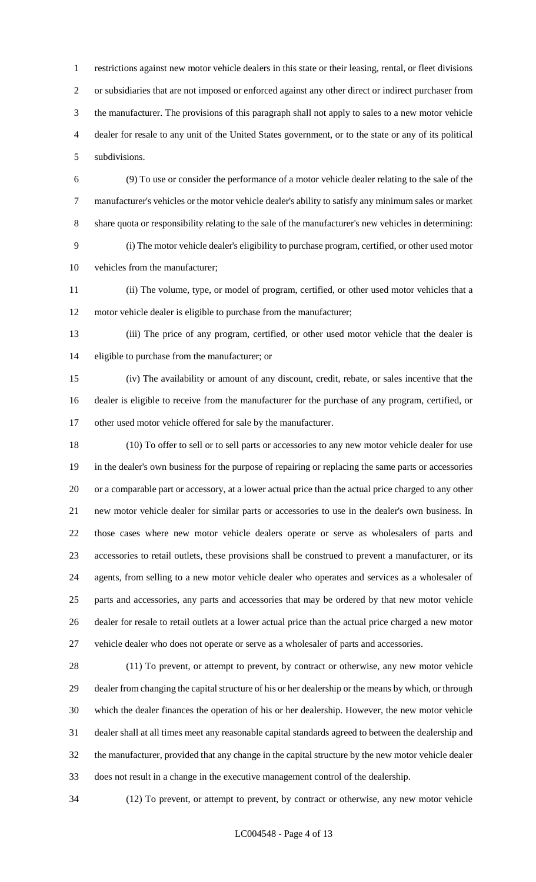restrictions against new motor vehicle dealers in this state or their leasing, rental, or fleet divisions or subsidiaries that are not imposed or enforced against any other direct or indirect purchaser from the manufacturer. The provisions of this paragraph shall not apply to sales to a new motor vehicle dealer for resale to any unit of the United States government, or to the state or any of its political subdivisions.

 (9) To use or consider the performance of a motor vehicle dealer relating to the sale of the manufacturer's vehicles or the motor vehicle dealer's ability to satisfy any minimum sales or market share quota or responsibility relating to the sale of the manufacturer's new vehicles in determining:

 (i) The motor vehicle dealer's eligibility to purchase program, certified, or other used motor vehicles from the manufacturer;

 (ii) The volume, type, or model of program, certified, or other used motor vehicles that a motor vehicle dealer is eligible to purchase from the manufacturer;

 (iii) The price of any program, certified, or other used motor vehicle that the dealer is eligible to purchase from the manufacturer; or

 (iv) The availability or amount of any discount, credit, rebate, or sales incentive that the dealer is eligible to receive from the manufacturer for the purchase of any program, certified, or other used motor vehicle offered for sale by the manufacturer.

 (10) To offer to sell or to sell parts or accessories to any new motor vehicle dealer for use in the dealer's own business for the purpose of repairing or replacing the same parts or accessories or a comparable part or accessory, at a lower actual price than the actual price charged to any other new motor vehicle dealer for similar parts or accessories to use in the dealer's own business. In those cases where new motor vehicle dealers operate or serve as wholesalers of parts and accessories to retail outlets, these provisions shall be construed to prevent a manufacturer, or its agents, from selling to a new motor vehicle dealer who operates and services as a wholesaler of parts and accessories, any parts and accessories that may be ordered by that new motor vehicle dealer for resale to retail outlets at a lower actual price than the actual price charged a new motor vehicle dealer who does not operate or serve as a wholesaler of parts and accessories.

 (11) To prevent, or attempt to prevent, by contract or otherwise, any new motor vehicle dealer from changing the capital structure of his or her dealership or the means by which, or through which the dealer finances the operation of his or her dealership. However, the new motor vehicle dealer shall at all times meet any reasonable capital standards agreed to between the dealership and the manufacturer, provided that any change in the capital structure by the new motor vehicle dealer does not result in a change in the executive management control of the dealership.

(12) To prevent, or attempt to prevent, by contract or otherwise, any new motor vehicle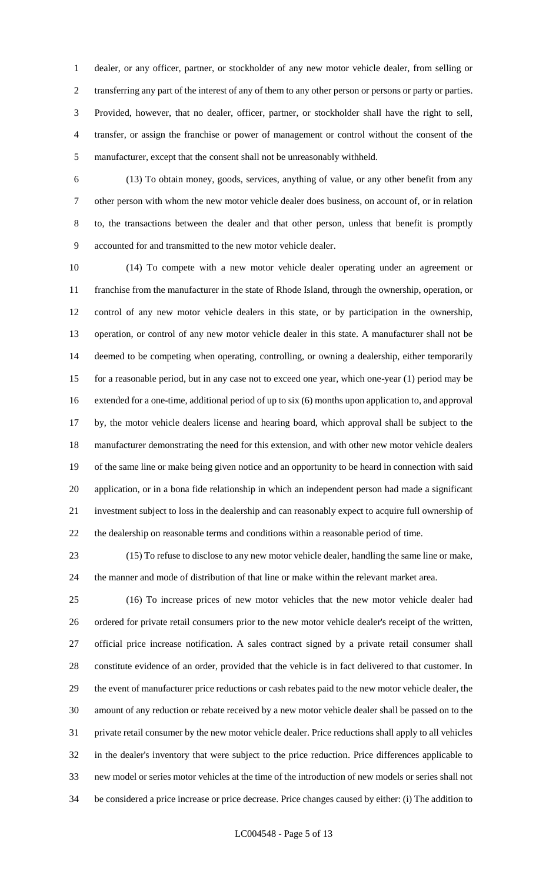dealer, or any officer, partner, or stockholder of any new motor vehicle dealer, from selling or transferring any part of the interest of any of them to any other person or persons or party or parties. Provided, however, that no dealer, officer, partner, or stockholder shall have the right to sell, transfer, or assign the franchise or power of management or control without the consent of the manufacturer, except that the consent shall not be unreasonably withheld.

 (13) To obtain money, goods, services, anything of value, or any other benefit from any other person with whom the new motor vehicle dealer does business, on account of, or in relation to, the transactions between the dealer and that other person, unless that benefit is promptly accounted for and transmitted to the new motor vehicle dealer.

 (14) To compete with a new motor vehicle dealer operating under an agreement or franchise from the manufacturer in the state of Rhode Island, through the ownership, operation, or control of any new motor vehicle dealers in this state, or by participation in the ownership, operation, or control of any new motor vehicle dealer in this state. A manufacturer shall not be deemed to be competing when operating, controlling, or owning a dealership, either temporarily for a reasonable period, but in any case not to exceed one year, which one-year (1) period may be extended for a one-time, additional period of up to six (6) months upon application to, and approval by, the motor vehicle dealers license and hearing board, which approval shall be subject to the manufacturer demonstrating the need for this extension, and with other new motor vehicle dealers of the same line or make being given notice and an opportunity to be heard in connection with said application, or in a bona fide relationship in which an independent person had made a significant investment subject to loss in the dealership and can reasonably expect to acquire full ownership of the dealership on reasonable terms and conditions within a reasonable period of time.

 (15) To refuse to disclose to any new motor vehicle dealer, handling the same line or make, the manner and mode of distribution of that line or make within the relevant market area.

 (16) To increase prices of new motor vehicles that the new motor vehicle dealer had ordered for private retail consumers prior to the new motor vehicle dealer's receipt of the written, official price increase notification. A sales contract signed by a private retail consumer shall constitute evidence of an order, provided that the vehicle is in fact delivered to that customer. In the event of manufacturer price reductions or cash rebates paid to the new motor vehicle dealer, the amount of any reduction or rebate received by a new motor vehicle dealer shall be passed on to the private retail consumer by the new motor vehicle dealer. Price reductions shall apply to all vehicles in the dealer's inventory that were subject to the price reduction. Price differences applicable to new model or series motor vehicles at the time of the introduction of new models or series shall not be considered a price increase or price decrease. Price changes caused by either: (i) The addition to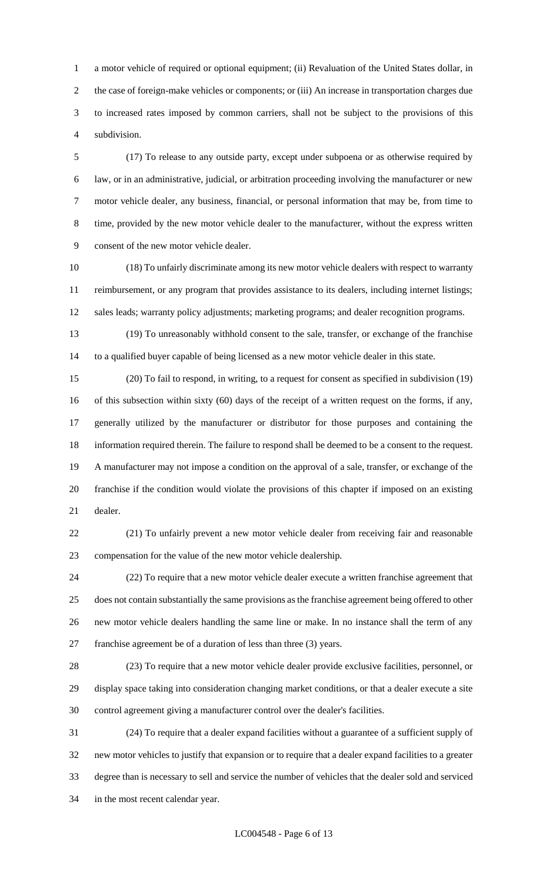a motor vehicle of required or optional equipment; (ii) Revaluation of the United States dollar, in the case of foreign-make vehicles or components; or (iii) An increase in transportation charges due to increased rates imposed by common carriers, shall not be subject to the provisions of this subdivision.

 (17) To release to any outside party, except under subpoena or as otherwise required by law, or in an administrative, judicial, or arbitration proceeding involving the manufacturer or new motor vehicle dealer, any business, financial, or personal information that may be, from time to time, provided by the new motor vehicle dealer to the manufacturer, without the express written consent of the new motor vehicle dealer.

 (18) To unfairly discriminate among its new motor vehicle dealers with respect to warranty reimbursement, or any program that provides assistance to its dealers, including internet listings; sales leads; warranty policy adjustments; marketing programs; and dealer recognition programs.

 (19) To unreasonably withhold consent to the sale, transfer, or exchange of the franchise to a qualified buyer capable of being licensed as a new motor vehicle dealer in this state.

 (20) To fail to respond, in writing, to a request for consent as specified in subdivision (19) of this subsection within sixty (60) days of the receipt of a written request on the forms, if any, generally utilized by the manufacturer or distributor for those purposes and containing the information required therein. The failure to respond shall be deemed to be a consent to the request. A manufacturer may not impose a condition on the approval of a sale, transfer, or exchange of the franchise if the condition would violate the provisions of this chapter if imposed on an existing dealer.

 (21) To unfairly prevent a new motor vehicle dealer from receiving fair and reasonable compensation for the value of the new motor vehicle dealership.

 (22) To require that a new motor vehicle dealer execute a written franchise agreement that does not contain substantially the same provisions as the franchise agreement being offered to other new motor vehicle dealers handling the same line or make. In no instance shall the term of any franchise agreement be of a duration of less than three (3) years.

 (23) To require that a new motor vehicle dealer provide exclusive facilities, personnel, or display space taking into consideration changing market conditions, or that a dealer execute a site control agreement giving a manufacturer control over the dealer's facilities.

 (24) To require that a dealer expand facilities without a guarantee of a sufficient supply of new motor vehicles to justify that expansion or to require that a dealer expand facilities to a greater degree than is necessary to sell and service the number of vehicles that the dealer sold and serviced in the most recent calendar year.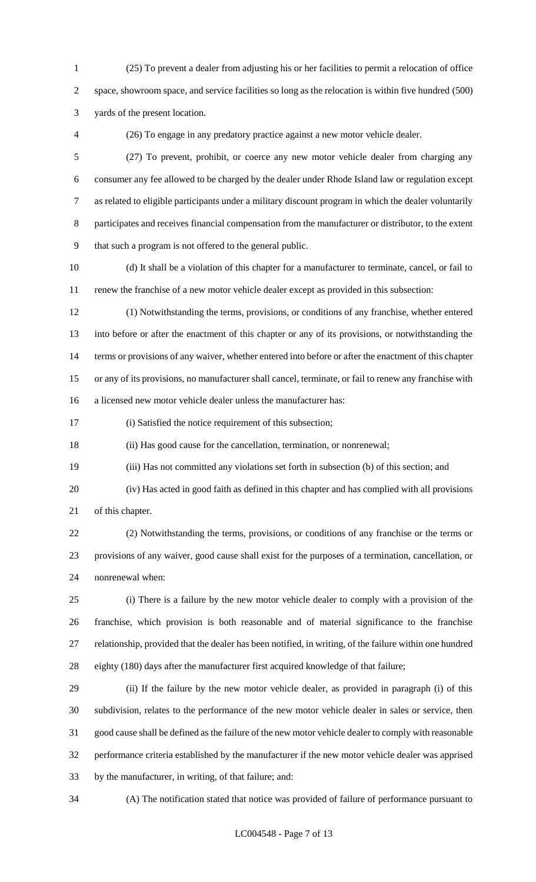(25) To prevent a dealer from adjusting his or her facilities to permit a relocation of office space, showroom space, and service facilities so long as the relocation is within five hundred (500) yards of the present location.

(26) To engage in any predatory practice against a new motor vehicle dealer.

 (27) To prevent, prohibit, or coerce any new motor vehicle dealer from charging any consumer any fee allowed to be charged by the dealer under Rhode Island law or regulation except as related to eligible participants under a military discount program in which the dealer voluntarily participates and receives financial compensation from the manufacturer or distributor, to the extent that such a program is not offered to the general public.

 (d) It shall be a violation of this chapter for a manufacturer to terminate, cancel, or fail to renew the franchise of a new motor vehicle dealer except as provided in this subsection:

 (1) Notwithstanding the terms, provisions, or conditions of any franchise, whether entered into before or after the enactment of this chapter or any of its provisions, or notwithstanding the 14 terms or provisions of any waiver, whether entered into before or after the enactment of this chapter or any of its provisions, no manufacturer shall cancel, terminate, or fail to renew any franchise with a licensed new motor vehicle dealer unless the manufacturer has:

(i) Satisfied the notice requirement of this subsection;

(ii) Has good cause for the cancellation, termination, or nonrenewal;

(iii) Has not committed any violations set forth in subsection (b) of this section; and

 (iv) Has acted in good faith as defined in this chapter and has complied with all provisions of this chapter.

 (2) Notwithstanding the terms, provisions, or conditions of any franchise or the terms or provisions of any waiver, good cause shall exist for the purposes of a termination, cancellation, or nonrenewal when:

 (i) There is a failure by the new motor vehicle dealer to comply with a provision of the franchise, which provision is both reasonable and of material significance to the franchise relationship, provided that the dealer has been notified, in writing, of the failure within one hundred eighty (180) days after the manufacturer first acquired knowledge of that failure;

 (ii) If the failure by the new motor vehicle dealer, as provided in paragraph (i) of this subdivision, relates to the performance of the new motor vehicle dealer in sales or service, then good cause shall be defined as the failure of the new motor vehicle dealer to comply with reasonable performance criteria established by the manufacturer if the new motor vehicle dealer was apprised by the manufacturer, in writing, of that failure; and:

(A) The notification stated that notice was provided of failure of performance pursuant to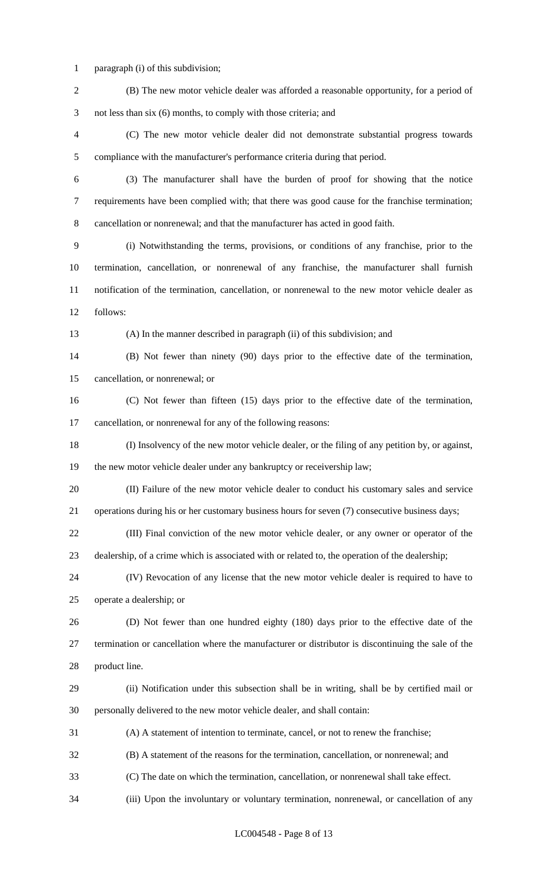- paragraph (i) of this subdivision;
- (B) The new motor vehicle dealer was afforded a reasonable opportunity, for a period of not less than six (6) months, to comply with those criteria; and (C) The new motor vehicle dealer did not demonstrate substantial progress towards compliance with the manufacturer's performance criteria during that period. (3) The manufacturer shall have the burden of proof for showing that the notice requirements have been complied with; that there was good cause for the franchise termination; cancellation or nonrenewal; and that the manufacturer has acted in good faith. (i) Notwithstanding the terms, provisions, or conditions of any franchise, prior to the termination, cancellation, or nonrenewal of any franchise, the manufacturer shall furnish notification of the termination, cancellation, or nonrenewal to the new motor vehicle dealer as follows: (A) In the manner described in paragraph (ii) of this subdivision; and (B) Not fewer than ninety (90) days prior to the effective date of the termination, cancellation, or nonrenewal; or (C) Not fewer than fifteen (15) days prior to the effective date of the termination, cancellation, or nonrenewal for any of the following reasons: (I) Insolvency of the new motor vehicle dealer, or the filing of any petition by, or against, 19 the new motor vehicle dealer under any bankruptcy or receivership law; (II) Failure of the new motor vehicle dealer to conduct his customary sales and service operations during his or her customary business hours for seven (7) consecutive business days; (III) Final conviction of the new motor vehicle dealer, or any owner or operator of the dealership, of a crime which is associated with or related to, the operation of the dealership; (IV) Revocation of any license that the new motor vehicle dealer is required to have to operate a dealership; or (D) Not fewer than one hundred eighty (180) days prior to the effective date of the termination or cancellation where the manufacturer or distributor is discontinuing the sale of the product line. (ii) Notification under this subsection shall be in writing, shall be by certified mail or personally delivered to the new motor vehicle dealer, and shall contain: (A) A statement of intention to terminate, cancel, or not to renew the franchise; (B) A statement of the reasons for the termination, cancellation, or nonrenewal; and (C) The date on which the termination, cancellation, or nonrenewal shall take effect. (iii) Upon the involuntary or voluntary termination, nonrenewal, or cancellation of any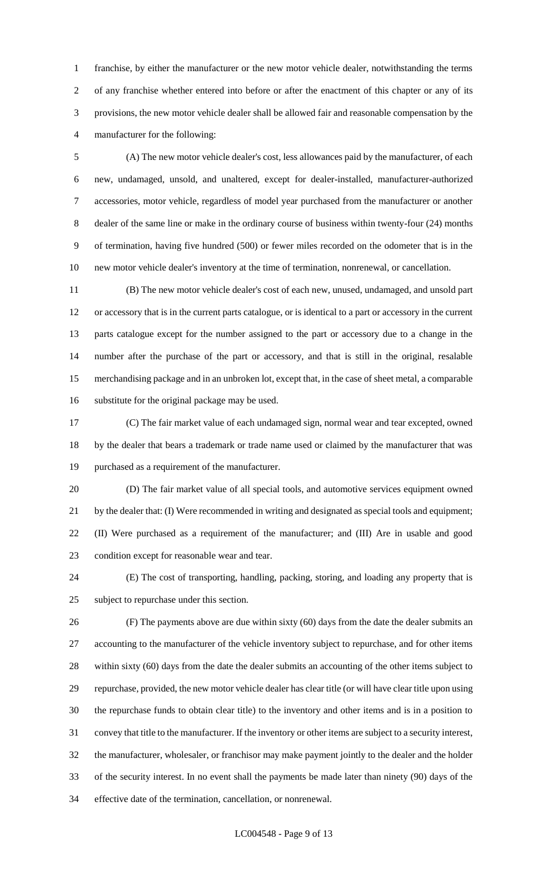franchise, by either the manufacturer or the new motor vehicle dealer, notwithstanding the terms of any franchise whether entered into before or after the enactment of this chapter or any of its provisions, the new motor vehicle dealer shall be allowed fair and reasonable compensation by the manufacturer for the following:

 (A) The new motor vehicle dealer's cost, less allowances paid by the manufacturer, of each new, undamaged, unsold, and unaltered, except for dealer-installed, manufacturer-authorized accessories, motor vehicle, regardless of model year purchased from the manufacturer or another dealer of the same line or make in the ordinary course of business within twenty-four (24) months of termination, having five hundred (500) or fewer miles recorded on the odometer that is in the new motor vehicle dealer's inventory at the time of termination, nonrenewal, or cancellation.

 (B) The new motor vehicle dealer's cost of each new, unused, undamaged, and unsold part or accessory that is in the current parts catalogue, or is identical to a part or accessory in the current parts catalogue except for the number assigned to the part or accessory due to a change in the number after the purchase of the part or accessory, and that is still in the original, resalable merchandising package and in an unbroken lot, except that, in the case of sheet metal, a comparable substitute for the original package may be used.

 (C) The fair market value of each undamaged sign, normal wear and tear excepted, owned by the dealer that bears a trademark or trade name used or claimed by the manufacturer that was purchased as a requirement of the manufacturer.

 (D) The fair market value of all special tools, and automotive services equipment owned by the dealer that: (I) Were recommended in writing and designated as special tools and equipment; (II) Were purchased as a requirement of the manufacturer; and (III) Are in usable and good condition except for reasonable wear and tear.

 (E) The cost of transporting, handling, packing, storing, and loading any property that is subject to repurchase under this section.

 (F) The payments above are due within sixty (60) days from the date the dealer submits an accounting to the manufacturer of the vehicle inventory subject to repurchase, and for other items within sixty (60) days from the date the dealer submits an accounting of the other items subject to repurchase, provided, the new motor vehicle dealer has clear title (or will have clear title upon using the repurchase funds to obtain clear title) to the inventory and other items and is in a position to convey that title to the manufacturer. If the inventory or other items are subject to a security interest, the manufacturer, wholesaler, or franchisor may make payment jointly to the dealer and the holder of the security interest. In no event shall the payments be made later than ninety (90) days of the effective date of the termination, cancellation, or nonrenewal.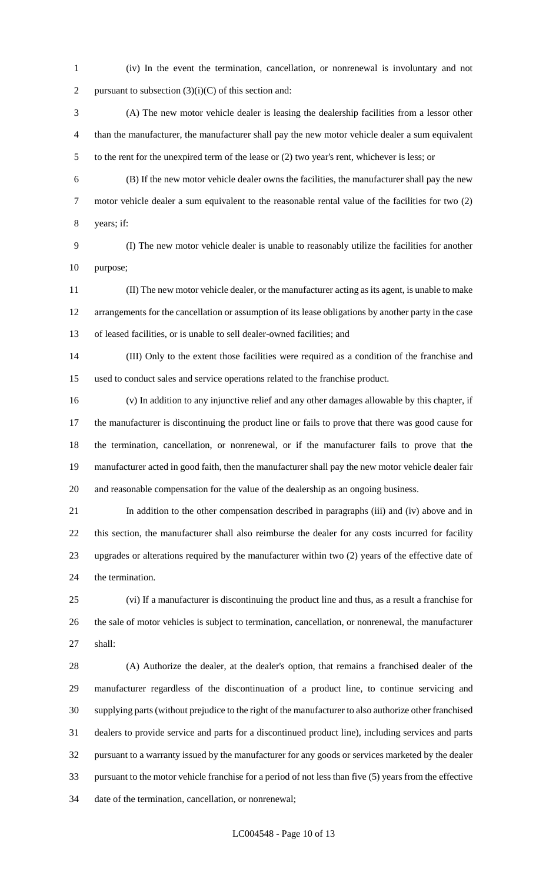- (iv) In the event the termination, cancellation, or nonrenewal is involuntary and not 2 pursuant to subsection  $(3)(i)(C)$  of this section and:
- (A) The new motor vehicle dealer is leasing the dealership facilities from a lessor other than the manufacturer, the manufacturer shall pay the new motor vehicle dealer a sum equivalent to the rent for the unexpired term of the lease or (2) two year's rent, whichever is less; or
- (B) If the new motor vehicle dealer owns the facilities, the manufacturer shall pay the new motor vehicle dealer a sum equivalent to the reasonable rental value of the facilities for two (2) years; if:
- (I) The new motor vehicle dealer is unable to reasonably utilize the facilities for another purpose;
- (II) The new motor vehicle dealer, or the manufacturer acting as its agent, is unable to make arrangements for the cancellation or assumption of its lease obligations by another party in the case of leased facilities, or is unable to sell dealer-owned facilities; and
- (III) Only to the extent those facilities were required as a condition of the franchise and used to conduct sales and service operations related to the franchise product.
- (v) In addition to any injunctive relief and any other damages allowable by this chapter, if the manufacturer is discontinuing the product line or fails to prove that there was good cause for the termination, cancellation, or nonrenewal, or if the manufacturer fails to prove that the manufacturer acted in good faith, then the manufacturer shall pay the new motor vehicle dealer fair and reasonable compensation for the value of the dealership as an ongoing business.
- In addition to the other compensation described in paragraphs (iii) and (iv) above and in this section, the manufacturer shall also reimburse the dealer for any costs incurred for facility upgrades or alterations required by the manufacturer within two (2) years of the effective date of the termination.
- (vi) If a manufacturer is discontinuing the product line and thus, as a result a franchise for the sale of motor vehicles is subject to termination, cancellation, or nonrenewal, the manufacturer shall:
- (A) Authorize the dealer, at the dealer's option, that remains a franchised dealer of the manufacturer regardless of the discontinuation of a product line, to continue servicing and supplying parts (without prejudice to the right of the manufacturer to also authorize other franchised dealers to provide service and parts for a discontinued product line), including services and parts pursuant to a warranty issued by the manufacturer for any goods or services marketed by the dealer pursuant to the motor vehicle franchise for a period of not less than five (5) years from the effective date of the termination, cancellation, or nonrenewal;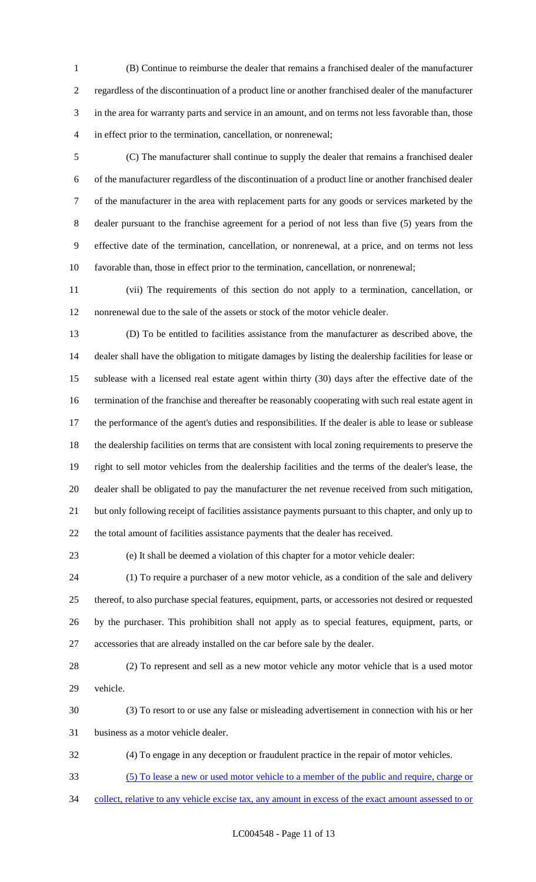(B) Continue to reimburse the dealer that remains a franchised dealer of the manufacturer regardless of the discontinuation of a product line or another franchised dealer of the manufacturer in the area for warranty parts and service in an amount, and on terms not less favorable than, those in effect prior to the termination, cancellation, or nonrenewal;

 (C) The manufacturer shall continue to supply the dealer that remains a franchised dealer of the manufacturer regardless of the discontinuation of a product line or another franchised dealer of the manufacturer in the area with replacement parts for any goods or services marketed by the dealer pursuant to the franchise agreement for a period of not less than five (5) years from the effective date of the termination, cancellation, or nonrenewal, at a price, and on terms not less favorable than, those in effect prior to the termination, cancellation, or nonrenewal;

 (vii) The requirements of this section do not apply to a termination, cancellation, or nonrenewal due to the sale of the assets or stock of the motor vehicle dealer.

 (D) To be entitled to facilities assistance from the manufacturer as described above, the dealer shall have the obligation to mitigate damages by listing the dealership facilities for lease or sublease with a licensed real estate agent within thirty (30) days after the effective date of the termination of the franchise and thereafter be reasonably cooperating with such real estate agent in the performance of the agent's duties and responsibilities. If the dealer is able to lease or sublease the dealership facilities on terms that are consistent with local zoning requirements to preserve the right to sell motor vehicles from the dealership facilities and the terms of the dealer's lease, the dealer shall be obligated to pay the manufacturer the net revenue received from such mitigation, but only following receipt of facilities assistance payments pursuant to this chapter, and only up to the total amount of facilities assistance payments that the dealer has received.

(e) It shall be deemed a violation of this chapter for a motor vehicle dealer:

 (1) To require a purchaser of a new motor vehicle, as a condition of the sale and delivery thereof, to also purchase special features, equipment, parts, or accessories not desired or requested by the purchaser. This prohibition shall not apply as to special features, equipment, parts, or accessories that are already installed on the car before sale by the dealer.

 (2) To represent and sell as a new motor vehicle any motor vehicle that is a used motor vehicle.

 (3) To resort to or use any false or misleading advertisement in connection with his or her business as a motor vehicle dealer.

(4) To engage in any deception or fraudulent practice in the repair of motor vehicles.

(5) To lease a new or used motor vehicle to a member of the public and require, charge or

collect, relative to any vehicle excise tax, any amount in excess of the exact amount assessed to or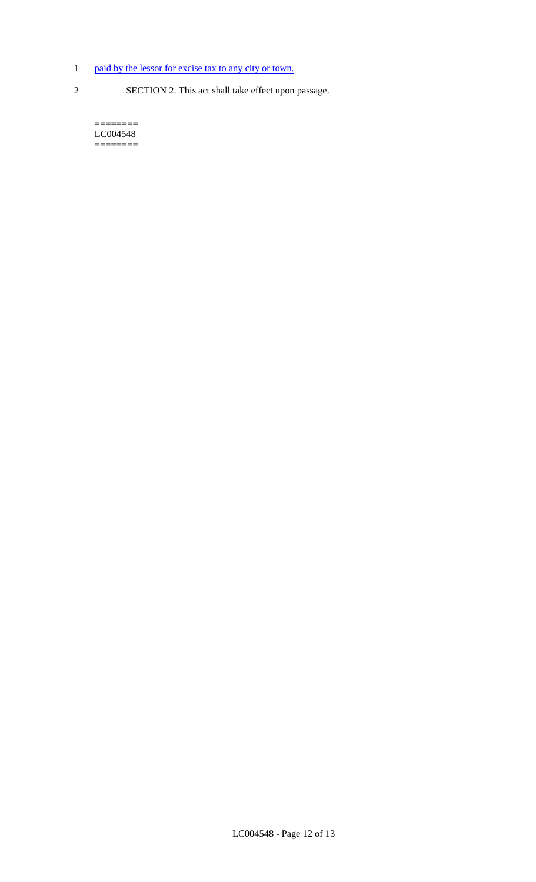- 1 paid by the lessor for excise tax to any city or town.
- 
- 2 SECTION 2. This act shall take effect upon passage.

======== LC004548 ========